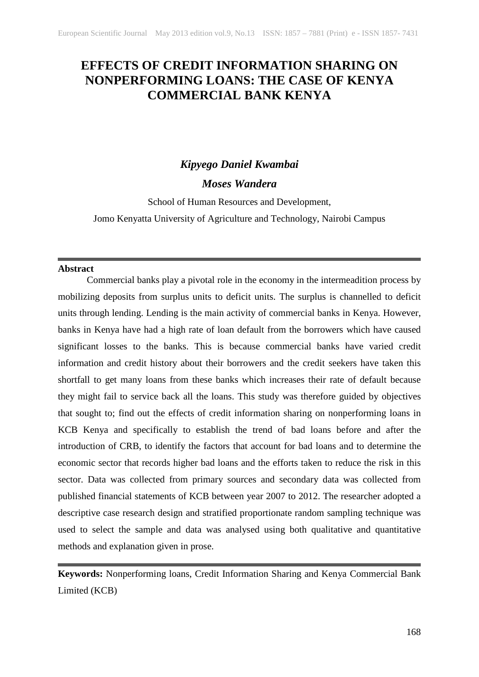# **EFFECTS OF CREDIT INFORMATION SHARING ON NONPERFORMING LOANS: THE CASE OF KENYA COMMERCIAL BANK KENYA**

# *Kipyego Daniel Kwambai*

# *Moses Wandera*

School of Human Resources and Development,

Jomo Kenyatta University of Agriculture and Technology, Nairobi Campus

## **Abstract**

Commercial banks play a pivotal role in the economy in the intermeadition process by mobilizing deposits from surplus units to deficit units. The surplus is channelled to deficit units through lending. Lending is the main activity of commercial banks in Kenya. However, banks in Kenya have had a high rate of loan default from the borrowers which have caused significant losses to the banks. This is because commercial banks have varied credit information and credit history about their borrowers and the credit seekers have taken this shortfall to get many loans from these banks which increases their rate of default because they might fail to service back all the loans. This study was therefore guided by objectives that sought to; find out the effects of credit information sharing on nonperforming loans in KCB Kenya and specifically to establish the trend of bad loans before and after the introduction of CRB, to identify the factors that account for bad loans and to determine the economic sector that records higher bad loans and the efforts taken to reduce the risk in this sector. Data was collected from primary sources and secondary data was collected from published financial statements of KCB between year 2007 to 2012. The researcher adopted a descriptive case research design and stratified proportionate random sampling technique was used to select the sample and data was analysed using both qualitative and quantitative methods and explanation given in prose.

**Keywords:** Nonperforming loans, Credit Information Sharing and Kenya Commercial Bank Limited (KCB)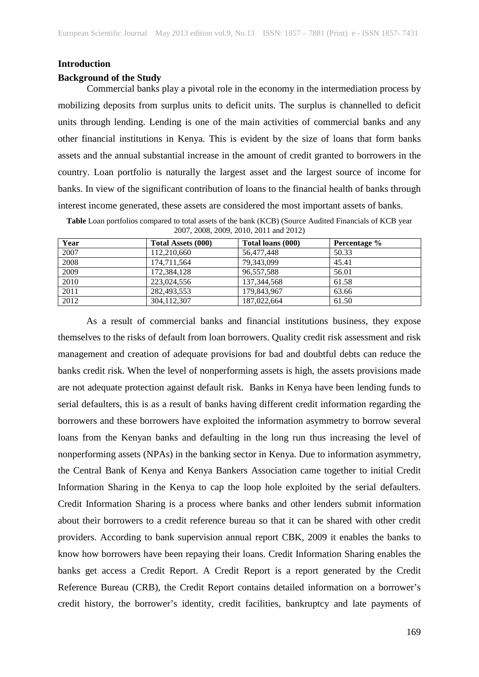#### **Introduction**

## **Background of the Study**

Commercial banks play a pivotal role in the economy in the intermediation process by mobilizing deposits from surplus units to deficit units. The surplus is channelled to deficit units through lending. Lending is one of the main activities of commercial banks and any other financial institutions in Kenya. This is evident by the size of loans that form banks assets and the annual substantial increase in the amount of credit granted to borrowers in the country. Loan portfolio is naturally the largest asset and the largest source of income for banks. In view of the significant contribution of loans to the financial health of banks through interest income generated, these assets are considered the most important assets of banks.

| Year | <b>Total Assets (000)</b> | Total loans (000) | Percentage % |
|------|---------------------------|-------------------|--------------|
| 2007 | 112,210,660               | 56,477,448        | 50.33        |
| 2008 | 174,711,564               | 79,343,099        | 45.41        |
| 2009 | 172,384,128               | 96,557,588        | 56.01        |
| 2010 | 223,024,556               | 137, 344, 568     | 61.58        |
| 2011 | 282,493,553               | 179,843,967       | 63.66        |
| 2012 | 304,112,307               | 187,022,664       | 61.50        |

**Table** Loan portfolios compared to total assets of the bank (KCB) (Source Audited Financials of KCB year 2007, 2008, 2009, 2010, 2011 and 2012)

As a result of commercial banks and financial institutions business, they expose themselves to the risks of default from loan borrowers. Quality credit risk assessment and risk management and creation of adequate provisions for bad and doubtful debts can reduce the banks credit risk. When the level of nonperforming assets is high, the assets provisions made are not adequate protection against default risk. Banks in Kenya have been lending funds to serial defaulters, this is as a result of banks having different credit information regarding the borrowers and these borrowers have exploited the information asymmetry to borrow several loans from the Kenyan banks and defaulting in the long run thus increasing the level of nonperforming assets (NPAs) in the banking sector in Kenya. Due to information asymmetry, the Central Bank of Kenya and Kenya Bankers Association came together to initial Credit Information Sharing in the Kenya to cap the loop hole exploited by the serial defaulters. Credit Information Sharing is a process where banks and other lenders submit information about their borrowers to a credit reference bureau so that it can be shared with other credit providers. According to bank supervision annual report CBK, 2009 it enables the banks to know how borrowers have been repaying their loans. Credit Information Sharing enables the banks get access a Credit Report. A Credit Report is a report generated by the Credit Reference Bureau (CRB), the Credit Report contains detailed information on a borrower's credit history, the borrower's identity, credit facilities, bankruptcy and late payments of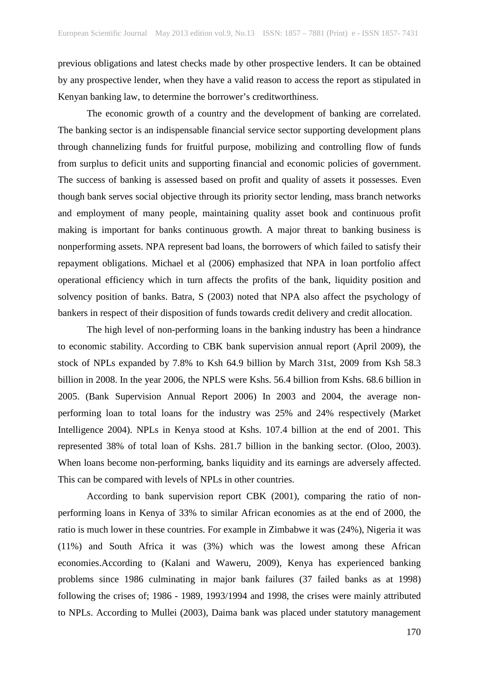previous obligations and latest checks made by other prospective lenders. It can be obtained by any prospective lender, when they have a valid reason to access the report as stipulated in Kenyan banking law, to determine the borrower's creditworthiness.

The economic growth of a country and the development of banking are correlated. The banking sector is an indispensable financial service sector supporting development plans through channelizing funds for fruitful purpose, mobilizing and controlling flow of funds from surplus to deficit units and supporting financial and economic policies of government. The success of banking is assessed based on profit and quality of assets it possesses. Even though bank serves social objective through its priority sector lending, mass branch networks and employment of many people, maintaining quality asset book and continuous profit making is important for banks continuous growth. A major threat to banking business is nonperforming assets. NPA represent bad loans, the borrowers of which failed to satisfy their repayment obligations. Michael et al (2006) emphasized that NPA in loan portfolio affect operational efficiency which in turn affects the profits of the bank, liquidity position and solvency position of banks. Batra, S (2003) noted that NPA also affect the psychology of bankers in respect of their disposition of funds towards credit delivery and credit allocation.

The high level of non-performing loans in the banking industry has been a hindrance to economic stability. According to CBK bank supervision annual report (April 2009), the stock of NPLs expanded by 7.8% to Ksh 64.9 billion by March 31st, 2009 from Ksh 58.3 billion in 2008. In the year 2006, the NPLS were Kshs. 56.4 billion from Kshs. 68.6 billion in 2005. (Bank Supervision Annual Report 2006) In 2003 and 2004, the average nonperforming loan to total loans for the industry was 25% and 24% respectively (Market Intelligence 2004). NPLs in Kenya stood at Kshs. 107.4 billion at the end of 2001. This represented 38% of total loan of Kshs. 281.7 billion in the banking sector. (Oloo, 2003). When loans become non-performing, banks liquidity and its earnings are adversely affected. This can be compared with levels of NPLs in other countries.

According to bank supervision report CBK (2001), comparing the ratio of nonperforming loans in Kenya of 33% to similar African economies as at the end of 2000, the ratio is much lower in these countries. For example in Zimbabwe it was (24%), Nigeria it was (11%) and South Africa it was (3%) which was the lowest among these African economies.According to (Kalani and Waweru, 2009), Kenya has experienced banking problems since 1986 culminating in major bank failures (37 failed banks as at 1998) following the crises of; 1986 - 1989, 1993/1994 and 1998, the crises were mainly attributed to NPLs. According to Mullei (2003), Daima bank was placed under statutory management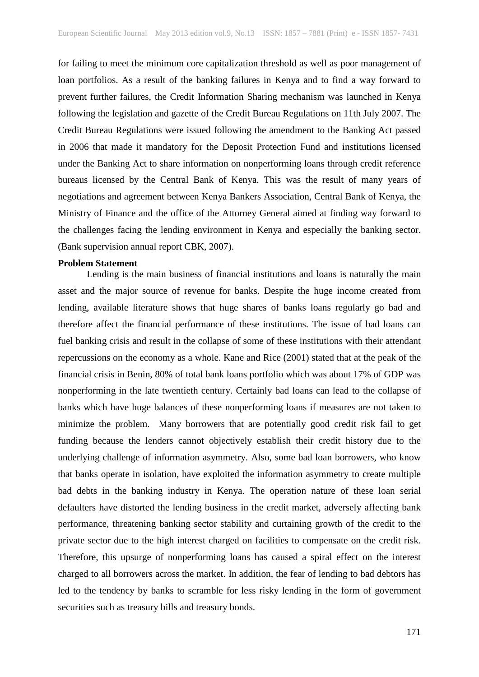for failing to meet the minimum core capitalization threshold as well as poor management of loan portfolios. As a result of the banking failures in Kenya and to find a way forward to prevent further failures, the Credit Information Sharing mechanism was launched in Kenya following the legislation and gazette of the Credit Bureau Regulations on 11th July 2007. The Credit Bureau Regulations were issued following the amendment to the Banking Act passed in 2006 that made it mandatory for the Deposit Protection Fund and institutions licensed under the Banking Act to share information on nonperforming loans through credit reference bureaus licensed by the Central Bank of Kenya. This was the result of many years of negotiations and agreement between Kenya Bankers Association, Central Bank of Kenya, the Ministry of Finance and the office of the Attorney General aimed at finding way forward to the challenges facing the lending environment in Kenya and especially the banking sector. (Bank supervision annual report CBK, 2007).

#### **Problem Statement**

Lending is the main business of financial institutions and loans is naturally the main asset and the major source of revenue for banks. Despite the huge income created from lending, available literature shows that huge shares of banks loans regularly go bad and therefore affect the financial performance of these institutions. The issue of bad loans can fuel banking crisis and result in the collapse of some of these institutions with their attendant repercussions on the economy as a whole. Kane and Rice (2001) stated that at the peak of the financial crisis in Benin, 80% of total bank loans portfolio which was about 17% of GDP was nonperforming in the late twentieth century. Certainly bad loans can lead to the collapse of banks which have huge balances of these nonperforming loans if measures are not taken to minimize the problem. Many borrowers that are potentially good credit risk fail to get funding because the lenders cannot objectively establish their credit history due to the underlying challenge of information asymmetry. Also, some bad loan borrowers, who know that banks operate in isolation, have exploited the information asymmetry to create multiple bad debts in the banking industry in Kenya. The operation nature of these loan serial defaulters have distorted the lending business in the credit market, adversely affecting bank performance, threatening banking sector stability and curtaining growth of the credit to the private sector due to the high interest charged on facilities to compensate on the credit risk. Therefore, this upsurge of nonperforming loans has caused a spiral effect on the interest charged to all borrowers across the market. In addition, the fear of lending to bad debtors has led to the tendency by banks to scramble for less risky lending in the form of government securities such as treasury bills and treasury bonds.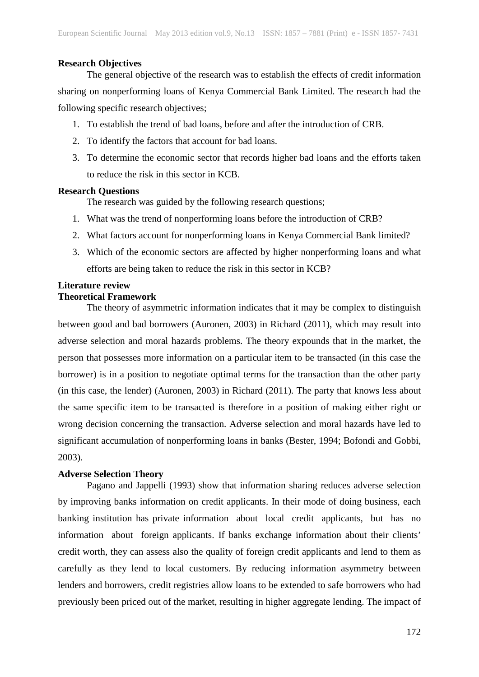## **Research Objectives**

The general objective of the research was to establish the effects of credit information sharing on nonperforming loans of Kenya Commercial Bank Limited. The research had the following specific research objectives;

- 1. To establish the trend of bad loans, before and after the introduction of CRB.
- 2. To identify the factors that account for bad loans.
- 3. To determine the economic sector that records higher bad loans and the efforts taken to reduce the risk in this sector in KCB.

## **Research Questions**

The research was guided by the following research questions;

- 1. What was the trend of nonperforming loans before the introduction of CRB?
- 2. What factors account for nonperforming loans in Kenya Commercial Bank limited?
- 3. Which of the economic sectors are affected by higher nonperforming loans and what efforts are being taken to reduce the risk in this sector in KCB?

# **Literature review**

# **Theoretical Framework**

The theory of asymmetric information indicates that it may be complex to distinguish between good and bad borrowers (Auronen, 2003) in Richard (2011), which may result into adverse selection and moral hazards problems. The theory expounds that in the market, the person that possesses more information on a particular item to be transacted (in this case the borrower) is in a position to negotiate optimal terms for the transaction than the other party (in this case, the lender) (Auronen, 2003) in Richard (2011). The party that knows less about the same specific item to be transacted is therefore in a position of making either right or wrong decision concerning the transaction. Adverse selection and moral hazards have led to significant accumulation of nonperforming loans in banks (Bester, 1994; Bofondi and Gobbi, 2003).

# **Adverse Selection Theory**

Pagano and Jappelli (1993) show that information sharing reduces adverse selection by improving banks information on credit applicants. In their mode of doing business, each banking institution has private information about local credit applicants, but has no information about foreign applicants. If banks exchange information about their clients' credit worth, they can assess also the quality of foreign credit applicants and lend to them as carefully as they lend to local customers. By reducing information asymmetry between lenders and borrowers, credit registries allow loans to be extended to safe borrowers who had previously been priced out of the market, resulting in higher aggregate lending. The impact of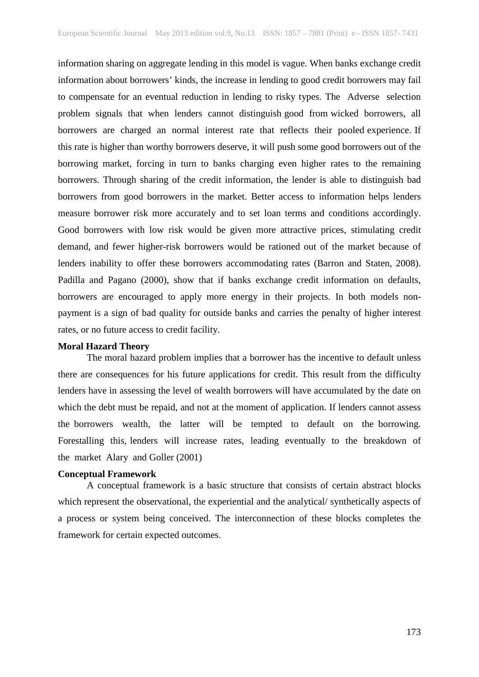information sharing on aggregate lending in this model is vague. When banks exchange credit information about borrowers' kinds, the increase in lending to good credit borrowers may fail to compensate for an eventual reduction in lending to risky types. The Adverse selection problem signals that when lenders cannot distinguish good from wicked borrowers, all borrowers are charged an normal interest rate that reflects their pooled experience. If this rate is higher than worthy borrowers deserve, it will push some good borrowers out of the borrowing market, forcing in turn to banks charging even higher rates to the remaining borrowers. Through sharing of the credit information, the lender is able to distinguish bad borrowers from good borrowers in the market. Better access to information helps lenders measure borrower risk more accurately and to set loan terms and conditions accordingly. Good borrowers with low risk would be given more attractive prices, stimulating credit demand, and fewer higher-risk borrowers would be rationed out of the market because of lenders inability to offer these borrowers accommodating rates (Barron and Staten, 2008). Padilla and Pagano (2000), show that if banks exchange credit information on defaults, borrowers are encouraged to apply more energy in their projects. In both models nonpayment is a sign of bad quality for outside banks and carries the penalty of higher interest rates, or no future access to credit facility.

#### **Moral Hazard Theory**

The moral hazard problem implies that a borrower has the incentive to default unless there are consequences for his future applications for credit. This result from the difficulty lenders have in assessing the level of wealth borrowers will have accumulated by the date on which the debt must be repaid, and not at the moment of application. If lenders cannot assess the borrowers wealth, the latter will be tempted to default on the borrowing. Forestalling this, lenders will increase rates, leading eventually to the breakdown of the market Alary and Goller (2001)

## **Conceptual Framework**

A conceptual framework is a basic structure that consists of certain abstract blocks which represent the observational, the experiential and the analytical/ synthetically aspects of a process or system being conceived. The interconnection of these blocks completes the framework for certain expected outcomes.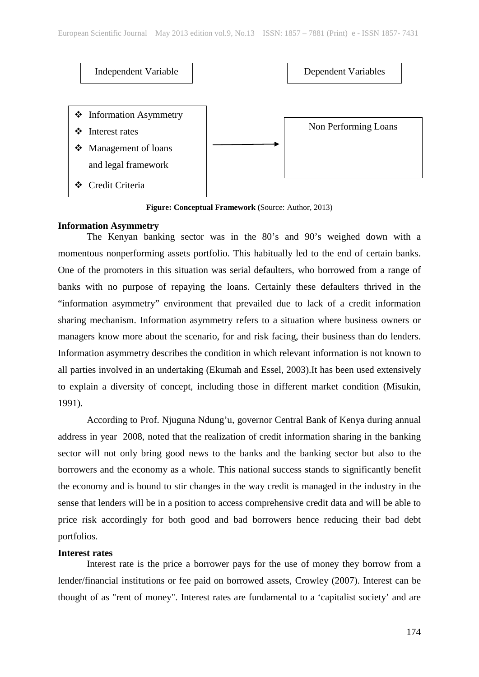

**Figure: Conceptual Framework (**Source: Author, 2013)

# **Information Asymmetry**

The Kenyan banking sector was in the 80's and 90's weighed down with a momentous nonperforming assets portfolio. This habitually led to the end of certain banks. One of the promoters in this situation was serial defaulters, who borrowed from a range of banks with no purpose of repaying the loans. Certainly these defaulters thrived in the "information asymmetry" environment that prevailed due to lack of a credit information sharing mechanism. Information asymmetry refers to a situation where business owners or managers know more about the scenario, for and risk facing, their business than do lenders. Information asymmetry describes the condition in which relevant information is not known to all parties involved in an undertaking (Ekumah and Essel, 2003).It has been used extensively to explain a diversity of concept, including those in different market condition (Misukin, 1991).

According to Prof. Njuguna Ndung'u, governor Central Bank of Kenya during annual address in year 2008, noted that the realization of credit information sharing in the banking sector will not only bring good news to the banks and the banking sector but also to the borrowers and the economy as a whole. This national success stands to significantly benefit the economy and is bound to stir changes in the way credit is managed in the industry in the sense that lenders will be in a position to access comprehensive credit data and will be able to price risk accordingly for both good and bad borrowers hence reducing their bad debt portfolios.

#### **Interest rates**

Interest rate is the price a borrower pays for the use of money they borrow from a lender/financial institutions or fee paid on borrowed assets, Crowley (2007). Interest can be thought of as "rent of money". Interest rates are fundamental to a 'capitalist society' and are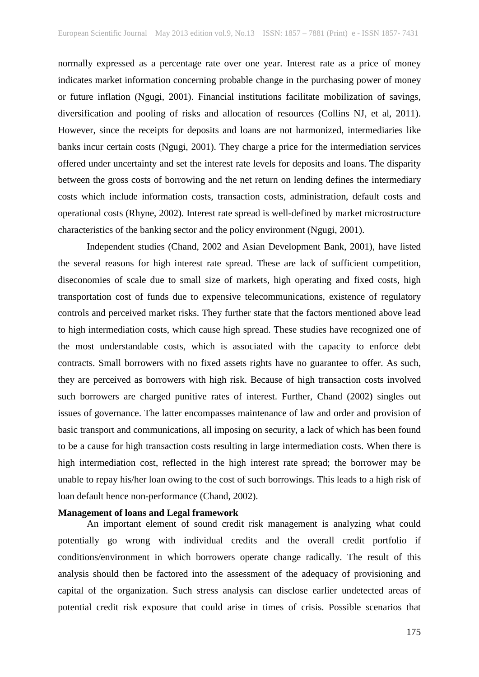normally expressed as a percentage rate over one year. Interest rate as a price of money indicates market information concerning probable change in the purchasing power of money or future inflation (Ngugi, 2001). Financial institutions facilitate mobilization of savings, diversification and pooling of risks and allocation of resources (Collins NJ, et al, 2011). However, since the receipts for deposits and loans are not harmonized, intermediaries like banks incur certain costs (Ngugi, 2001). They charge a price for the intermediation services offered under uncertainty and set the interest rate levels for deposits and loans. The disparity between the gross costs of borrowing and the net return on lending defines the intermediary costs which include information costs, transaction costs, administration, default costs and operational costs (Rhyne, 2002). Interest rate spread is well-defined by market microstructure characteristics of the banking sector and the policy environment (Ngugi, 2001).

Independent studies (Chand, 2002 and Asian Development Bank, 2001), have listed the several reasons for high interest rate spread. These are lack of sufficient competition, diseconomies of scale due to small size of markets, high operating and fixed costs, high transportation cost of funds due to expensive telecommunications, existence of regulatory controls and perceived market risks. They further state that the factors mentioned above lead to high intermediation costs, which cause high spread. These studies have recognized one of the most understandable costs, which is associated with the capacity to enforce debt contracts. Small borrowers with no fixed assets rights have no guarantee to offer. As such, they are perceived as borrowers with high risk. Because of high transaction costs involved such borrowers are charged punitive rates of interest. Further, Chand (2002) singles out issues of governance. The latter encompasses maintenance of law and order and provision of basic transport and communications, all imposing on security, a lack of which has been found to be a cause for high transaction costs resulting in large intermediation costs. When there is high intermediation cost, reflected in the high interest rate spread; the borrower may be unable to repay his/her loan owing to the cost of such borrowings. This leads to a high risk of loan default hence non-performance (Chand, 2002).

#### **Management of loans and Legal framework**

An important element of sound credit risk management is analyzing what could potentially go wrong with individual credits and the overall credit portfolio if conditions/environment in which borrowers operate change radically. The result of this analysis should then be factored into the assessment of the adequacy of provisioning and capital of the organization. Such stress analysis can disclose earlier undetected areas of potential credit risk exposure that could arise in times of crisis. Possible scenarios that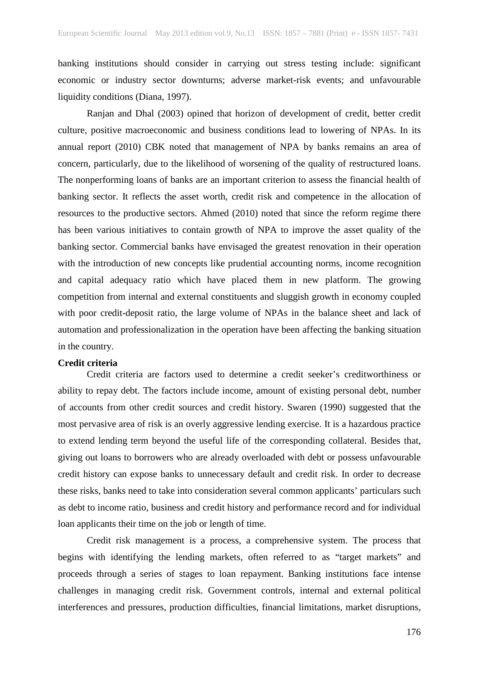banking institutions should consider in carrying out stress testing include: significant economic or industry sector downturns; adverse market-risk events; and unfavourable liquidity conditions (Diana, 1997).

Ranjan and Dhal (2003) opined that horizon of development of credit, better credit culture, positive macroeconomic and business conditions lead to lowering of NPAs. In its annual report (2010) CBK noted that management of NPA by banks remains an area of concern, particularly, due to the likelihood of worsening of the quality of restructured loans. The nonperforming loans of banks are an important criterion to assess the financial health of banking sector. It reflects the asset worth, credit risk and competence in the allocation of resources to the productive sectors. Ahmed (2010) noted that since the reform regime there has been various initiatives to contain growth of NPA to improve the asset quality of the banking sector. Commercial banks have envisaged the greatest renovation in their operation with the introduction of new concepts like prudential accounting norms, income recognition and capital adequacy ratio which have placed them in new platform. The growing competition from internal and external constituents and sluggish growth in economy coupled with poor credit-deposit ratio, the large volume of NPAs in the balance sheet and lack of automation and professionalization in the operation have been affecting the banking situation in the country.

#### **Credit criteria**

Credit criteria are factors used to determine a credit seeker's creditworthiness or ability to repay debt. The factors include income, amount of existing personal debt, number of accounts from other credit sources and credit history. Swaren (1990) suggested that the most pervasive area of risk is an overly aggressive lending exercise. It is a hazardous practice to extend lending term beyond the useful life of the corresponding collateral. Besides that, giving out loans to borrowers who are already overloaded with debt or possess unfavourable credit history can expose banks to unnecessary default and credit risk. In order to decrease these risks, banks need to take into consideration several common applicants' particulars such as debt to income ratio, business and credit history and performance record and for individual loan applicants their time on the job or length of time.

Credit risk management is a process, a comprehensive system. The process that begins with identifying the lending markets, often referred to as "target markets" and proceeds through a series of stages to loan repayment. Banking institutions face intense challenges in managing credit risk. Government controls, internal and external political interferences and pressures, production difficulties, financial limitations, market disruptions,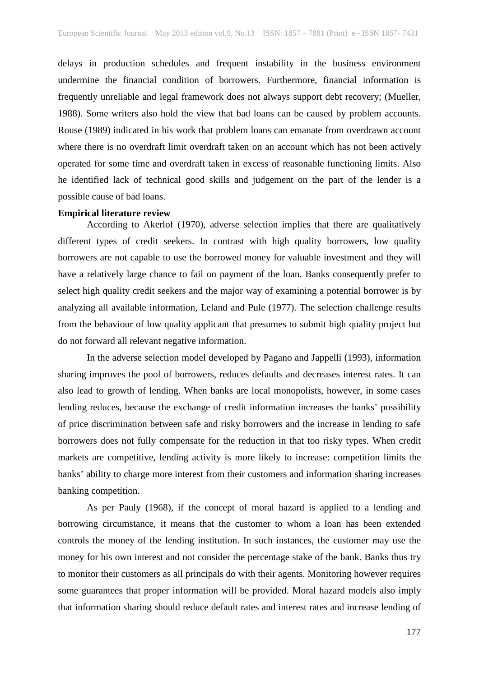delays in production schedules and frequent instability in the business environment undermine the financial condition of borrowers. Furthermore, financial information is frequently unreliable and legal framework does not always support debt recovery; (Mueller, 1988). Some writers also hold the view that bad loans can be caused by problem accounts. Rouse (1989) indicated in his work that problem loans can emanate from overdrawn account where there is no overdraft limit overdraft taken on an account which has not been actively operated for some time and overdraft taken in excess of reasonable functioning limits. Also he identified lack of technical good skills and judgement on the part of the lender is a possible cause of bad loans.

#### **Empirical literature review**

According to Akerlof (1970), adverse selection implies that there are qualitatively different types of credit seekers. In contrast with high quality borrowers, low quality borrowers are not capable to use the borrowed money for valuable investment and they will have a relatively large chance to fail on payment of the loan. Banks consequently prefer to select high quality credit seekers and the major way of examining a potential borrower is by analyzing all available information, Leland and Pule (1977). The selection challenge results from the behaviour of low quality applicant that presumes to submit high quality project but do not forward all relevant negative information.

In the adverse selection model developed by Pagano and Jappelli (1993), information sharing improves the pool of borrowers, reduces defaults and decreases interest rates. It can also lead to growth of lending. When banks are local monopolists, however, in some cases lending reduces, because the exchange of credit information increases the banks' possibility of price discrimination between safe and risky borrowers and the increase in lending to safe borrowers does not fully compensate for the reduction in that too risky types. When credit markets are competitive, lending activity is more likely to increase: competition limits the banks' ability to charge more interest from their customers and information sharing increases banking competition.

As per Pauly (1968), if the concept of moral hazard is applied to a lending and borrowing circumstance, it means that the customer to whom a loan has been extended controls the money of the lending institution. In such instances, the customer may use the money for his own interest and not consider the percentage stake of the bank. Banks thus try to monitor their customers as all principals do with their agents. Monitoring however requires some guarantees that proper information will be provided. Moral hazard models also imply that information sharing should reduce default rates and interest rates and increase lending of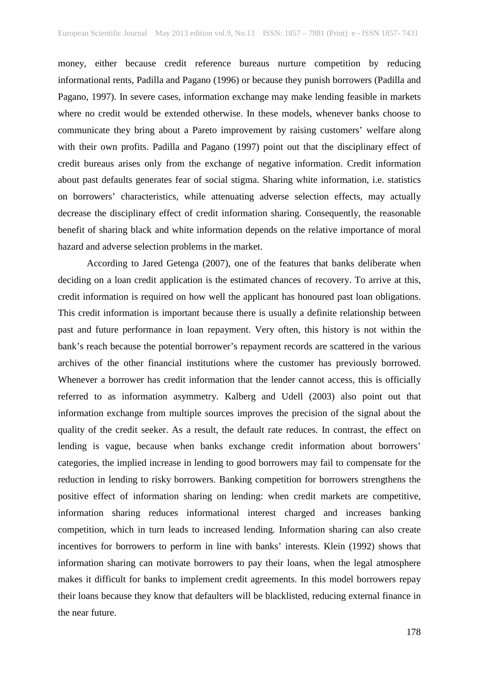money, either because credit reference bureaus nurture competition by reducing informational rents, Padilla and Pagano (1996) or because they punish borrowers (Padilla and Pagano, 1997). In severe cases, information exchange may make lending feasible in markets where no credit would be extended otherwise. In these models, whenever banks choose to communicate they bring about a Pareto improvement by raising customers' welfare along with their own profits. Padilla and Pagano (1997) point out that the disciplinary effect of credit bureaus arises only from the exchange of negative information. Credit information about past defaults generates fear of social stigma. Sharing white information, i.e. statistics on borrowers' characteristics, while attenuating adverse selection effects, may actually decrease the disciplinary effect of credit information sharing. Consequently, the reasonable benefit of sharing black and white information depends on the relative importance of moral hazard and adverse selection problems in the market.

According to Jared Getenga (2007), one of the features that banks deliberate when deciding on a loan credit application is the estimated chances of recovery. To arrive at this, credit information is required on how well the applicant has honoured past loan obligations. This credit information is important because there is usually a definite relationship between past and future performance in loan repayment. Very often, this history is not within the bank's reach because the potential borrower's repayment records are scattered in the various archives of the other financial institutions where the customer has previously borrowed. Whenever a borrower has credit information that the lender cannot access, this is officially referred to as information asymmetry. Kalberg and Udell (2003) also point out that information exchange from multiple sources improves the precision of the signal about the quality of the credit seeker. As a result, the default rate reduces. In contrast, the effect on lending is vague, because when banks exchange credit information about borrowers' categories, the implied increase in lending to good borrowers may fail to compensate for the reduction in lending to risky borrowers. Banking competition for borrowers strengthens the positive effect of information sharing on lending: when credit markets are competitive, information sharing reduces informational interest charged and increases banking competition, which in turn leads to increased lending. Information sharing can also create incentives for borrowers to perform in line with banks' interests. Klein (1992) shows that information sharing can motivate borrowers to pay their loans, when the legal atmosphere makes it difficult for banks to implement credit agreements. In this model borrowers repay their loans because they know that defaulters will be blacklisted, reducing external finance in the near future.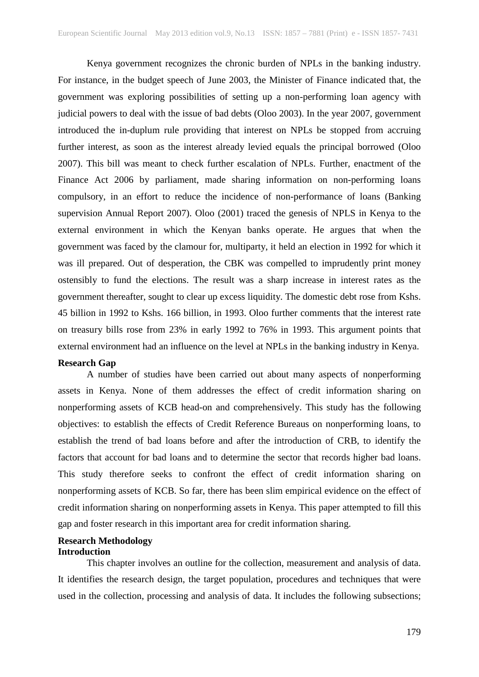Kenya government recognizes the chronic burden of NPLs in the banking industry. For instance, in the budget speech of June 2003, the Minister of Finance indicated that, the government was exploring possibilities of setting up a non-performing loan agency with judicial powers to deal with the issue of bad debts (Oloo 2003). In the year 2007, government introduced the in-duplum rule providing that interest on NPLs be stopped from accruing further interest, as soon as the interest already levied equals the principal borrowed (Oloo 2007). This bill was meant to check further escalation of NPLs. Further, enactment of the Finance Act 2006 by parliament, made sharing information on non-performing loans compulsory, in an effort to reduce the incidence of non-performance of loans (Banking supervision Annual Report 2007). Oloo (2001) traced the genesis of NPLS in Kenya to the external environment in which the Kenyan banks operate. He argues that when the government was faced by the clamour for, multiparty, it held an election in 1992 for which it was ill prepared. Out of desperation, the CBK was compelled to imprudently print money ostensibly to fund the elections. The result was a sharp increase in interest rates as the government thereafter, sought to clear up excess liquidity. The domestic debt rose from Kshs. 45 billion in 1992 to Kshs. 166 billion, in 1993. Oloo further comments that the interest rate on treasury bills rose from 23% in early 1992 to 76% in 1993. This argument points that external environment had an influence on the level at NPLs in the banking industry in Kenya.

#### **Research Gap**

A number of studies have been carried out about many aspects of nonperforming assets in Kenya. None of them addresses the effect of credit information sharing on nonperforming assets of KCB head-on and comprehensively. This study has the following objectives: to establish the effects of Credit Reference Bureaus on nonperforming loans, to establish the trend of bad loans before and after the introduction of CRB, to identify the factors that account for bad loans and to determine the sector that records higher bad loans. This study therefore seeks to confront the effect of credit information sharing on nonperforming assets of KCB. So far, there has been slim empirical evidence on the effect of credit information sharing on nonperforming assets in Kenya. This paper attempted to fill this gap and foster research in this important area for credit information sharing.

# **Research Methodology**

## **Introduction**

This chapter involves an outline for the collection, measurement and analysis of data. It identifies the research design, the target population, procedures and techniques that were used in the collection, processing and analysis of data. It includes the following subsections;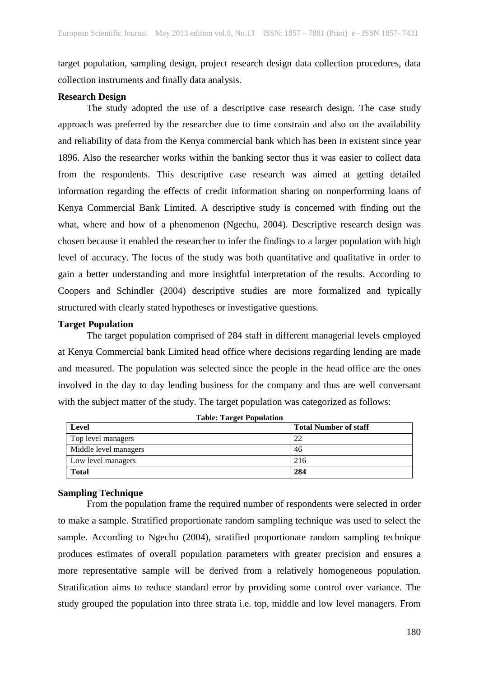target population, sampling design, project research design data collection procedures, data collection instruments and finally data analysis.

## **Research Design**

The study adopted the use of a descriptive case research design. The case study approach was preferred by the researcher due to time constrain and also on the availability and reliability of data from the Kenya commercial bank which has been in existent since year 1896. Also the researcher works within the banking sector thus it was easier to collect data from the respondents. This descriptive case research was aimed at getting detailed information regarding the effects of credit information sharing on nonperforming loans of Kenya Commercial Bank Limited. A descriptive study is concerned with finding out the what, where and how of a phenomenon (Ngechu, 2004). Descriptive research design was chosen because it enabled the researcher to infer the findings to a larger population with high level of accuracy. The focus of the study was both quantitative and qualitative in order to gain a better understanding and more insightful interpretation of the results. According to Coopers and Schindler (2004) descriptive studies are more formalized and typically structured with clearly stated hypotheses or investigative questions.

## **Target Population**

The target population comprised of 284 staff in different managerial levels employed at Kenya Commercial bank Limited head office where decisions regarding lending are made and measured. The population was selected since the people in the head office are the ones involved in the day to day lending business for the company and thus are well conversant with the subject matter of the study. The target population was categorized as follows:

| Table: Target ropulation<br>Level | <b>Total Number of staff</b> |
|-----------------------------------|------------------------------|
| Top level managers                | 22                           |
| Middle level managers             | 46                           |
| Low level managers                | 216                          |
| <b>Total</b>                      | 284                          |

**Table: Target Population**

## **Sampling Technique**

From the population frame the required number of respondents were selected in order to make a sample. Stratified proportionate random sampling technique was used to select the sample. According to Ngechu (2004), stratified proportionate random sampling technique produces estimates of overall population parameters with greater precision and ensures a more representative sample will be derived from a relatively homogeneous population. Stratification aims to reduce standard error by providing some control over variance. The study grouped the population into three strata i.e. top, middle and low level managers. From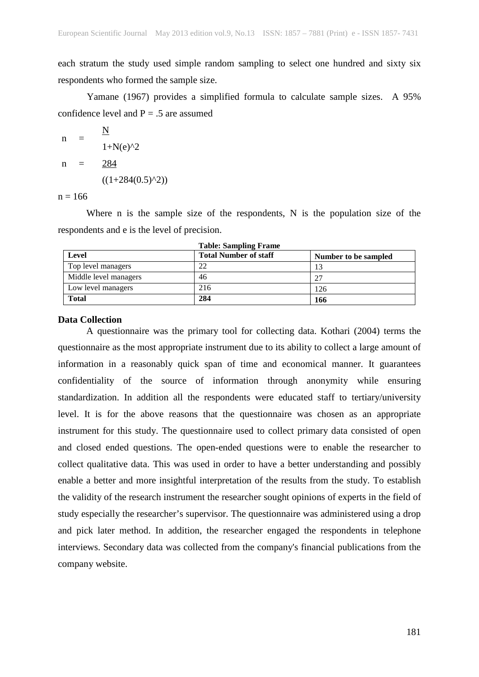each stratum the study used simple random sampling to select one hundred and sixty six respondents who formed the sample size.

Yamane (1967) provides a simplified formula to calculate sample sizes. A 95% confidence level and  $P = .5$  are assumed

n = 
$$
\frac{N}{1+N(e)^{2}}
$$
  
n =  $\frac{284}{((1+284(0.5)^{2}))}$ 

 $n = 166$ 

Where n is the sample size of the respondents, N is the population size of the respondents and e is the level of precision.

| Level                 | <b>Total Number of staff</b> | Number to be sampled |
|-----------------------|------------------------------|----------------------|
| Top level managers    | 22                           | 13                   |
| Middle level managers | 46                           | 27                   |
| Low level managers    | 216                          | 126                  |
| <b>Total</b>          | 284                          | 166                  |

**Table: Sampling Frame**

#### **Data Collection**

A questionnaire was the primary tool for collecting data. Kothari (2004) terms the questionnaire as the most appropriate instrument due to its ability to collect a large amount of information in a reasonably quick span of time and economical manner. It guarantees confidentiality of the source of information through anonymity while ensuring standardization. In addition all the respondents were educated staff to tertiary/university level. It is for the above reasons that the questionnaire was chosen as an appropriate instrument for this study. The questionnaire used to collect primary data consisted of open and closed ended questions. The open-ended questions were to enable the researcher to collect qualitative data. This was used in order to have a better understanding and possibly enable a better and more insightful interpretation of the results from the study. To establish the validity of the research instrument the researcher sought opinions of experts in the field of study especially the researcher's supervisor. The questionnaire was administered using a drop and pick later method. In addition, the researcher engaged the respondents in telephone interviews. Secondary data was collected from the company's financial publications from the company website.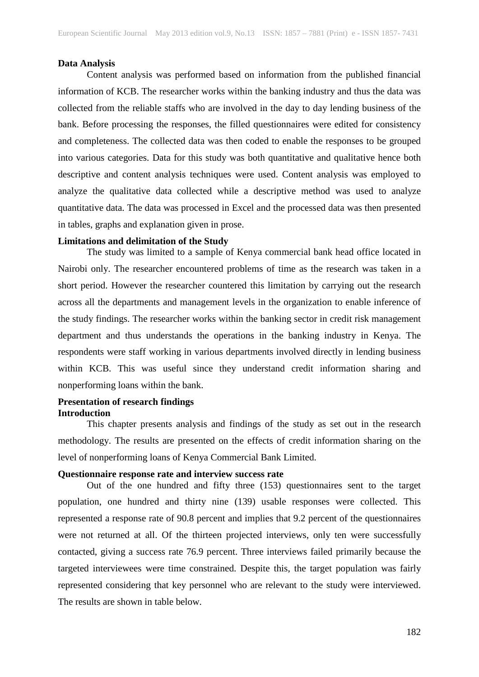#### **Data Analysis**

Content analysis was performed based on information from the published financial information of KCB. The researcher works within the banking industry and thus the data was collected from the reliable staffs who are involved in the day to day lending business of the bank. Before processing the responses, the filled questionnaires were edited for consistency and completeness. The collected data was then coded to enable the responses to be grouped into various categories. Data for this study was both quantitative and qualitative hence both descriptive and content analysis techniques were used. Content analysis was employed to analyze the qualitative data collected while a descriptive method was used to analyze quantitative data. The data was processed in Excel and the processed data was then presented in tables, graphs and explanation given in prose.

#### **Limitations and delimitation of the Study**

The study was limited to a sample of Kenya commercial bank head office located in Nairobi only. The researcher encountered problems of time as the research was taken in a short period. However the researcher countered this limitation by carrying out the research across all the departments and management levels in the organization to enable inference of the study findings. The researcher works within the banking sector in credit risk management department and thus understands the operations in the banking industry in Kenya. The respondents were staff working in various departments involved directly in lending business within KCB. This was useful since they understand credit information sharing and nonperforming loans within the bank.

## **Presentation of research findings Introduction**

This chapter presents analysis and findings of the study as set out in the research methodology. The results are presented on the effects of credit information sharing on the level of nonperforming loans of Kenya Commercial Bank Limited.

#### **Questionnaire response rate and interview success rate**

Out of the one hundred and fifty three (153) questionnaires sent to the target population, one hundred and thirty nine (139) usable responses were collected. This represented a response rate of 90.8 percent and implies that 9.2 percent of the questionnaires were not returned at all. Of the thirteen projected interviews, only ten were successfully contacted, giving a success rate 76.9 percent. Three interviews failed primarily because the targeted interviewees were time constrained. Despite this, the target population was fairly represented considering that key personnel who are relevant to the study were interviewed. The results are shown in table below.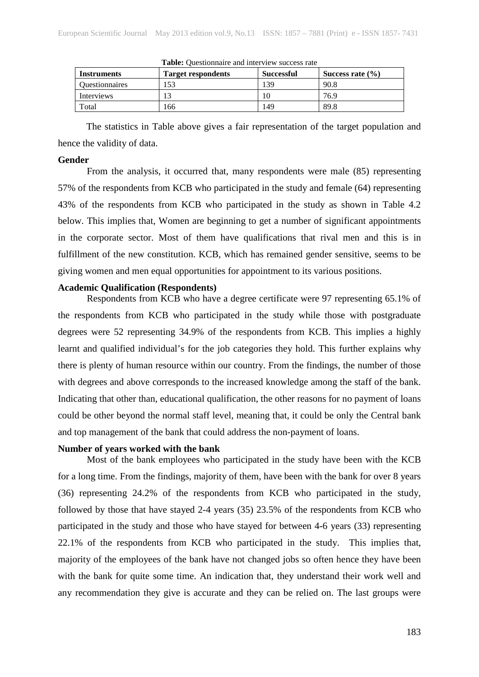| Instruments           | Target respondents | <b>Successful</b> | Success rate $(\% )$ |  |
|-----------------------|--------------------|-------------------|----------------------|--|
| <b>Ouestionnaires</b> | 153                | 139               | 90.8                 |  |
| Interviews            |                    |                   | 76.9                 |  |
| Total                 | 166                | 149               | 89.8                 |  |

**Table:** Questionnaire and interview success rate

The statistics in Table above gives a fair representation of the target population and hence the validity of data.

#### **Gender**

From the analysis, it occurred that, many respondents were male (85) representing 57% of the respondents from KCB who participated in the study and female (64) representing 43% of the respondents from KCB who participated in the study as shown in Table 4.2 below. This implies that, Women are beginning to get a number of significant appointments in the corporate sector. Most of them have qualifications that rival men and this is in fulfillment of the new constitution. KCB, which has remained gender sensitive, seems to be giving women and men equal opportunities for appointment to its various positions.

# **Academic Qualification (Respondents)**

Respondents from KCB who have a degree certificate were 97 representing 65.1% of the respondents from KCB who participated in the study while those with postgraduate degrees were 52 representing 34.9% of the respondents from KCB. This implies a highly learnt and qualified individual's for the job categories they hold. This further explains why there is plenty of human resource within our country. From the findings, the number of those with degrees and above corresponds to the increased knowledge among the staff of the bank. Indicating that other than, educational qualification, the other reasons for no payment of loans could be other beyond the normal staff level, meaning that, it could be only the Central bank and top management of the bank that could address the non-payment of loans.

### **Number of years worked with the bank**

Most of the bank employees who participated in the study have been with the KCB for a long time. From the findings, majority of them, have been with the bank for over 8 years (36) representing 24.2% of the respondents from KCB who participated in the study, followed by those that have stayed 2-4 years (35) 23.5% of the respondents from KCB who participated in the study and those who have stayed for between 4-6 years (33) representing 22.1% of the respondents from KCB who participated in the study. This implies that, majority of the employees of the bank have not changed jobs so often hence they have been with the bank for quite some time. An indication that, they understand their work well and any recommendation they give is accurate and they can be relied on. The last groups were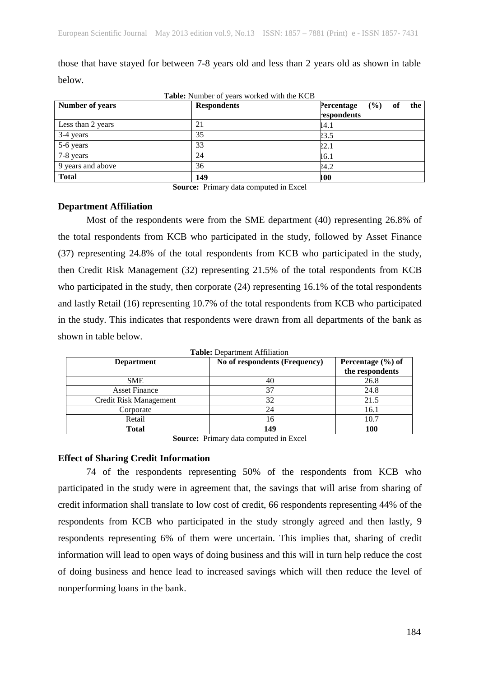| Table: Number of years worked with the KCB |                    |                                         |  |  |  |  |
|--------------------------------------------|--------------------|-----------------------------------------|--|--|--|--|
| <b>Number of years</b>                     | <b>Respondents</b> | (%)<br>the<br>Percentage<br>respondents |  |  |  |  |
| Less than 2 years                          | 21                 | 14.1                                    |  |  |  |  |
| 3-4 years                                  | 35                 | 23.5                                    |  |  |  |  |
| 5-6 years                                  | 33                 | 22.1                                    |  |  |  |  |
| 7-8 years                                  | 24                 | 16.1                                    |  |  |  |  |
| 9 years and above                          | 36                 | 24.2                                    |  |  |  |  |
| <b>Total</b>                               | 149                | 100                                     |  |  |  |  |

those that have stayed for between 7-8 years old and less than 2 years old as shown in table below.

**Source:** Primary data computed in Excel

## **Department Affiliation**

Most of the respondents were from the SME department (40) representing 26.8% of the total respondents from KCB who participated in the study, followed by Asset Finance (37) representing 24.8% of the total respondents from KCB who participated in the study, then Credit Risk Management (32) representing 21.5% of the total respondents from KCB who participated in the study, then corporate  $(24)$  representing 16.1% of the total respondents and lastly Retail (16) representing 10.7% of the total respondents from KCB who participated in the study. This indicates that respondents were drawn from all departments of the bank as shown in table below.

| <b>Department</b>      | No of respondents (Frequency) | Percentage $(\% )$ of<br>the respondents |
|------------------------|-------------------------------|------------------------------------------|
| <b>SME</b>             | 40                            | 26.8                                     |
| <b>Asset Finance</b>   | 37                            | 24.8                                     |
| Credit Risk Management | 32                            | 21.5                                     |
| Corporate              | 24                            | 16.1                                     |
| Retail                 | 16                            | 10.7                                     |
| Total                  | 149                           | 100                                      |

**Table:** Department Affiliation

**Source:** Primary data computed in Excel

## **Effect of Sharing Credit Information**

74 of the respondents representing 50% of the respondents from KCB who participated in the study were in agreement that, the savings that will arise from sharing of credit information shall translate to low cost of credit, 66 respondents representing 44% of the respondents from KCB who participated in the study strongly agreed and then lastly, 9 respondents representing 6% of them were uncertain. This implies that, sharing of credit information will lead to open ways of doing business and this will in turn help reduce the cost of doing business and hence lead to increased savings which will then reduce the level of nonperforming loans in the bank.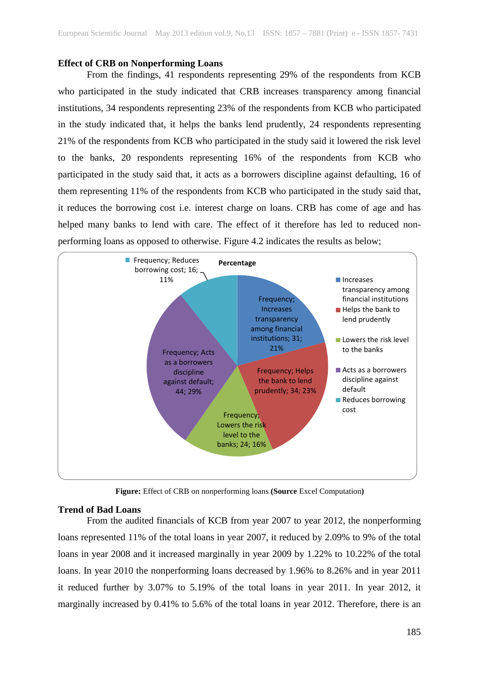## **Effect of CRB on Nonperforming Loans**

From the findings, 41 respondents representing 29% of the respondents from KCB who participated in the study indicated that CRB increases transparency among financial institutions, 34 respondents representing 23% of the respondents from KCB who participated in the study indicated that, it helps the banks lend prudently, 24 respondents representing 21% of the respondents from KCB who participated in the study said it lowered the risk level to the banks, 20 respondents representing 16% of the respondents from KCB who participated in the study said that, it acts as a borrowers discipline against defaulting, 16 of them representing 11% of the respondents from KCB who participated in the study said that, it reduces the borrowing cost i.e. interest charge on loans. CRB has come of age and has helped many banks to lend with care. The effect of it therefore has led to reduced nonperforming loans as opposed to otherwise. Figure 4.2 indicates the results as below;



**Figure:** Effect of CRB on nonperforming loans **(Source** Excel Computation**)**

### **Trend of Bad Loans**

From the audited financials of KCB from year 2007 to year 2012, the nonperforming loans represented 11% of the total loans in year 2007, it reduced by 2.09% to 9% of the total loans in year 2008 and it increased marginally in year 2009 by 1.22% to 10.22% of the total loans. In year 2010 the nonperforming loans decreased by 1.96% to 8.26% and in year 2011 it reduced further by 3.07% to 5.19% of the total loans in year 2011. In year 2012, it marginally increased by 0.41% to 5.6% of the total loans in year 2012. Therefore, there is an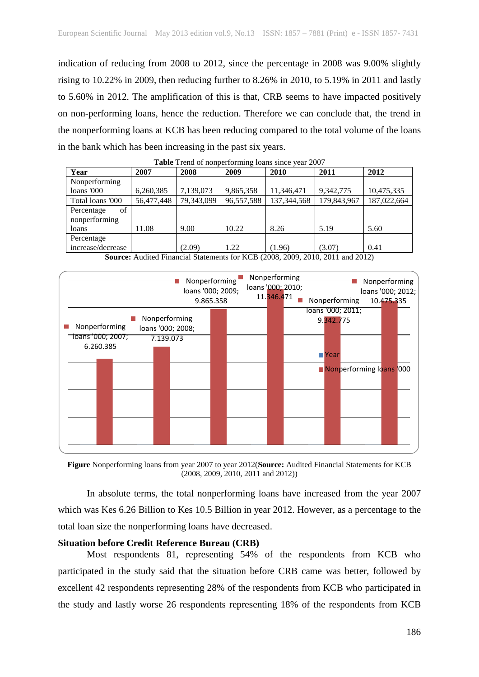indication of reducing from 2008 to 2012, since the percentage in 2008 was 9.00% slightly rising to 10.22% in 2009, then reducing further to 8.26% in 2010, to 5.19% in 2011 and lastly to 5.60% in 2012. The amplification of this is that, CRB seems to have impacted positively on non-performing loans, hence the reduction. Therefore we can conclude that, the trend in the nonperforming loans at KCB has been reducing compared to the total volume of the loans in the bank which has been increasing in the past six years.

| <b>Table</b> Trend of homperforming found since year 2007                                                                                                                 |            |            |            |               |             |             |  |
|---------------------------------------------------------------------------------------------------------------------------------------------------------------------------|------------|------------|------------|---------------|-------------|-------------|--|
| Year                                                                                                                                                                      | 2007       | 2008       | 2009       | 2010          | 2011        | 2012        |  |
| Nonperforming                                                                                                                                                             |            |            |            |               |             |             |  |
| $loans$ '000                                                                                                                                                              | 6,260,385  | 7,139,073  | 9,865,358  | 11.346.471    | 9.342,775   | 10,475,335  |  |
| Total loans '000                                                                                                                                                          | 56,477,448 | 79,343,099 | 96,557,588 | 137, 344, 568 | 179,843,967 | 187,022,664 |  |
| οf<br>Percentage                                                                                                                                                          |            |            |            |               |             |             |  |
| nonperforming                                                                                                                                                             |            |            |            |               |             |             |  |
| loans                                                                                                                                                                     | 11.08      | 9.00       | 10.22      | 8.26          | 5.19        | 5.60        |  |
| Percentage                                                                                                                                                                |            |            |            |               |             |             |  |
| increase/decrease                                                                                                                                                         |            | (2.09)     | 1.22       | (1.96)        | (3.07)      | 0.41        |  |
| $\cdots$<br>$\cdots$<br>$\mathbf{r} \cdot \mathbf{r} \cdot \mathbf{r}$ and $\mathbf{r} \cdot \mathbf{r} \cdot \mathbf{r}$<br>$\sim$ $\sim$ $\sim$<br>$\sim$ $\sim$ $\sim$ |            |            |            |               |             |             |  |

|  |  | Table Trend of nonperforming loans since year 2007 |  |  |
|--|--|----------------------------------------------------|--|--|
|  |  |                                                    |  |  |

**Source:** Audited Financial Statements for KCB (2008, 2009, 2010, 2011 and 2012)



**Figure** Nonperforming loans from year 2007 to year 2012(**Source:** Audited Financial Statements for KCB (2008, 2009, 2010, 2011 and 2012))

In absolute terms, the total nonperforming loans have increased from the year 2007 which was Kes 6.26 Billion to Kes 10.5 Billion in year 2012. However, as a percentage to the total loan size the nonperforming loans have decreased.

## **Situation before Credit Reference Bureau (CRB)**

Most respondents 81, representing 54% of the respondents from KCB who participated in the study said that the situation before CRB came was better, followed by excellent 42 respondents representing 28% of the respondents from KCB who participated in the study and lastly worse 26 respondents representing 18% of the respondents from KCB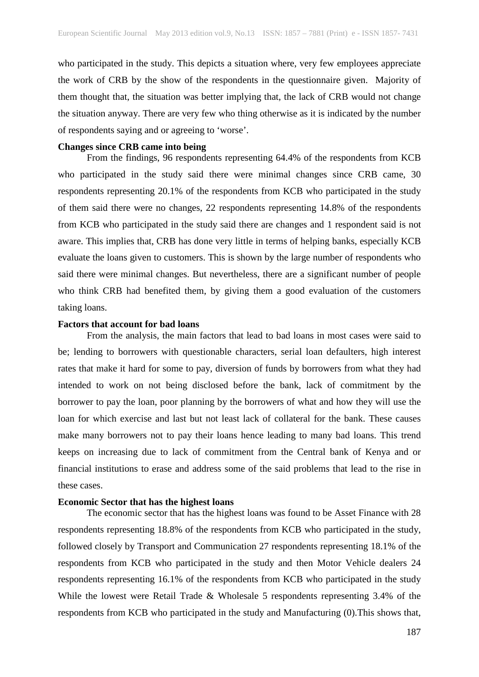who participated in the study. This depicts a situation where, very few employees appreciate the work of CRB by the show of the respondents in the questionnaire given. Majority of them thought that, the situation was better implying that, the lack of CRB would not change the situation anyway. There are very few who thing otherwise as it is indicated by the number of respondents saying and or agreeing to 'worse'.

### **Changes since CRB came into being**

From the findings, 96 respondents representing 64.4% of the respondents from KCB who participated in the study said there were minimal changes since CRB came, 30 respondents representing 20.1% of the respondents from KCB who participated in the study of them said there were no changes, 22 respondents representing 14.8% of the respondents from KCB who participated in the study said there are changes and 1 respondent said is not aware. This implies that, CRB has done very little in terms of helping banks, especially KCB evaluate the loans given to customers. This is shown by the large number of respondents who said there were minimal changes. But nevertheless, there are a significant number of people who think CRB had benefited them, by giving them a good evaluation of the customers taking loans.

## **Factors that account for bad loans**

From the analysis, the main factors that lead to bad loans in most cases were said to be; lending to borrowers with questionable characters, serial loan defaulters, high interest rates that make it hard for some to pay, diversion of funds by borrowers from what they had intended to work on not being disclosed before the bank, lack of commitment by the borrower to pay the loan, poor planning by the borrowers of what and how they will use the loan for which exercise and last but not least lack of collateral for the bank. These causes make many borrowers not to pay their loans hence leading to many bad loans. This trend keeps on increasing due to lack of commitment from the Central bank of Kenya and or financial institutions to erase and address some of the said problems that lead to the rise in these cases.

#### **Economic Sector that has the highest loans**

The economic sector that has the highest loans was found to be Asset Finance with 28 respondents representing 18.8% of the respondents from KCB who participated in the study, followed closely by Transport and Communication 27 respondents representing 18.1% of the respondents from KCB who participated in the study and then Motor Vehicle dealers 24 respondents representing 16.1% of the respondents from KCB who participated in the study While the lowest were Retail Trade & Wholesale 5 respondents representing 3.4% of the respondents from KCB who participated in the study and Manufacturing (0).This shows that,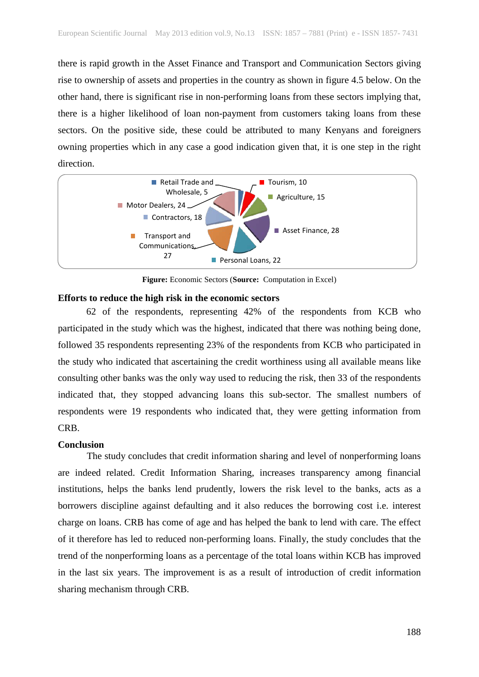there is rapid growth in the Asset Finance and Transport and Communication Sectors giving rise to ownership of assets and properties in the country as shown in figure 4.5 below. On the other hand, there is significant rise in non-performing loans from these sectors implying that, there is a higher likelihood of loan non-payment from customers taking loans from these sectors. On the positive side, these could be attributed to many Kenyans and foreigners owning properties which in any case a good indication given that, it is one step in the right direction.



**Figure:** Economic Sectors (**Source:** Computation in Excel)

# **Efforts to reduce the high risk in the economic sectors**

62 of the respondents, representing 42% of the respondents from KCB who participated in the study which was the highest, indicated that there was nothing being done, followed 35 respondents representing 23% of the respondents from KCB who participated in the study who indicated that ascertaining the credit worthiness using all available means like consulting other banks was the only way used to reducing the risk, then 33 of the respondents indicated that, they stopped advancing loans this sub-sector. The smallest numbers of respondents were 19 respondents who indicated that, they were getting information from CRB.

## **Conclusion**

The study concludes that credit information sharing and level of nonperforming loans are indeed related. Credit Information Sharing, increases transparency among financial institutions, helps the banks lend prudently, lowers the risk level to the banks, acts as a borrowers discipline against defaulting and it also reduces the borrowing cost i.e. interest charge on loans. CRB has come of age and has helped the bank to lend with care. The effect of it therefore has led to reduced non-performing loans. Finally, the study concludes that the trend of the nonperforming loans as a percentage of the total loans within KCB has improved in the last six years. The improvement is as a result of introduction of credit information sharing mechanism through CRB.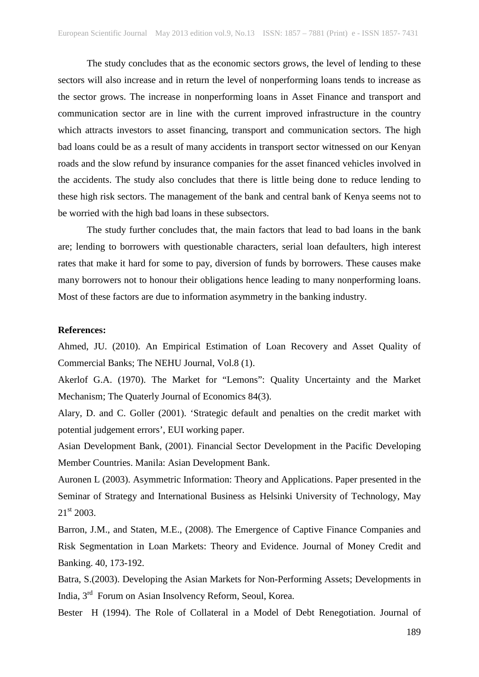The study concludes that as the economic sectors grows, the level of lending to these sectors will also increase and in return the level of nonperforming loans tends to increase as the sector grows. The increase in nonperforming loans in Asset Finance and transport and communication sector are in line with the current improved infrastructure in the country which attracts investors to asset financing, transport and communication sectors. The high bad loans could be as a result of many accidents in transport sector witnessed on our Kenyan roads and the slow refund by insurance companies for the asset financed vehicles involved in the accidents. The study also concludes that there is little being done to reduce lending to these high risk sectors. The management of the bank and central bank of Kenya seems not to be worried with the high bad loans in these subsectors.

The study further concludes that, the main factors that lead to bad loans in the bank are; lending to borrowers with questionable characters, serial loan defaulters, high interest rates that make it hard for some to pay, diversion of funds by borrowers. These causes make many borrowers not to honour their obligations hence leading to many nonperforming loans. Most of these factors are due to information asymmetry in the banking industry.

# **References:**

Ahmed, JU. (2010). An Empirical Estimation of Loan Recovery and Asset Quality of Commercial Banks; The NEHU Journal, Vol.8 (1).

Akerlof G.A. (1970). The Market for "Lemons": Quality Uncertainty and the Market Mechanism; The Quaterly Journal of Economics 84(3).

Alary, D. and C. Goller (2001). 'Strategic default and penalties on the credit market with potential judgement errors', EUI working paper.

Asian Development Bank, (2001). Financial Sector Development in the Pacific Developing Member Countries. Manila: Asian Development Bank.

Auronen L (2003). Asymmetric Information: Theory and Applications. Paper presented in the Seminar of Strategy and International Business as Helsinki University of Technology, May  $21^{st}$  2003.

Barron, J.M., and Staten, M.E., (2008). The Emergence of Captive Finance Companies and Risk Segmentation in Loan Markets: Theory and Evidence. Journal of Money Credit and Banking. 40, 173-192.

Batra, S.(2003). Developing the Asian Markets for Non-Performing Assets; Developments in India, 3rd Forum on Asian Insolvency Reform, Seoul, Korea.

Bester H (1994). The Role of Collateral in a Model of Debt Renegotiation. Journal of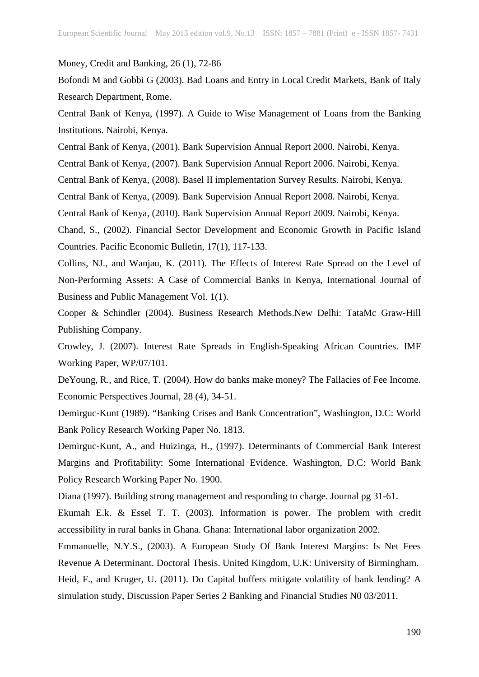Money, Credit and Banking, 26 (1), 72-86

Bofondi M and Gobbi G (2003). Bad Loans and Entry in Local Credit Markets, Bank of Italy Research Department, Rome.

Central Bank of Kenya, (1997). A Guide to Wise Management of Loans from the Banking Institutions. Nairobi, Kenya.

Central Bank of Kenya, (2001). Bank Supervision Annual Report 2000. Nairobi, Kenya.

Central Bank of Kenya, (2007). Bank Supervision Annual Report 2006. Nairobi, Kenya.

Central Bank of Kenya, (2008). Basel II implementation Survey Results. Nairobi, Kenya.

Central Bank of Kenya, (2009). Bank Supervision Annual Report 2008. Nairobi, Kenya.

Central Bank of Kenya, (2010). Bank Supervision Annual Report 2009. Nairobi, Kenya.

Chand, S., (2002). Financial Sector Development and Economic Growth in Pacific Island Countries. Pacific Economic Bulletin, 17(1), 117-133.

Collins, NJ., and Wanjau, K. (2011). The Effects of Interest Rate Spread on the Level of Non-Performing Assets: A Case of Commercial Banks in Kenya, International Journal of Business and Public Management Vol. 1(1).

Cooper & Schindler (2004). Business Research Methods.New Delhi: TataMc Graw-Hill Publishing Company.

Crowley, J. (2007). Interest Rate Spreads in English-Speaking African Countries. IMF Working Paper, WP/07/101.

DeYoung, R., and Rice, T. (2004). How do banks make money? The Fallacies of Fee Income. Economic Perspectives Journal, 28 (4), 34-51.

Demirguc-Kunt (1989). "Banking Crises and Bank Concentration", Washington, D.C: World Bank Policy Research Working Paper No. 1813.

Demirguc-Kunt, A., and Huizinga, H., (1997). Determinants of Commercial Bank Interest Margins and Profitability: Some International Evidence. Washington, D.C: World Bank Policy Research Working Paper No. 1900.

Diana (1997). Building strong management and responding to charge. Journal pg 31-61.

Ekumah E.k. & Essel T. T. (2003). Information is power. The problem with credit accessibility in rural banks in Ghana. Ghana: International labor organization 2002.

Emmanuelle, N.Y.S., (2003). A European Study Of Bank Interest Margins: Is Net Fees Revenue A Determinant. Doctoral Thesis. United Kingdom, U.K: University of Birmingham. Heid, F., and Kruger, U. (2011). Do Capital buffers mitigate volatility of bank lending? A simulation study, Discussion Paper Series 2 Banking and Financial Studies N0 03/2011.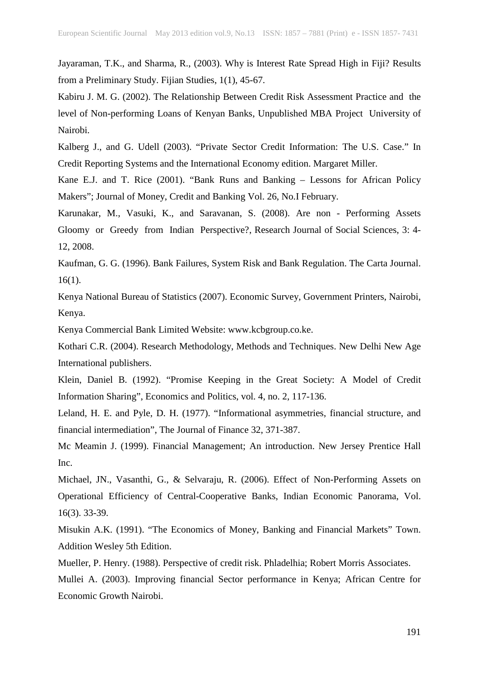Jayaraman, T.K., and Sharma, R., (2003). Why is Interest Rate Spread High in Fiji? Results from a Preliminary Study. Fijian Studies, 1(1), 45-67.

Kabiru J. M. G. (2002). The Relationship Between Credit Risk Assessment Practice and the level of Non-performing Loans of Kenyan Banks, Unpublished MBA Project University of Nairobi.

Kalberg J., and G. Udell (2003). "Private Sector Credit Information: The U.S. Case." In Credit Reporting Systems and the International Economy edition. Margaret Miller.

Kane E.J. and T. Rice (2001). "Bank Runs and Banking – Lessons for African Policy Makers"; Journal of Money, Credit and Banking Vol. 26, No.I February.

Karunakar, M., Vasuki, K., and Saravanan, S. (2008). Are non - Performing Assets Gloomy or Greedy from Indian Perspective?, Research Journal of Social Sciences, 3: 4- 12, 2008.

Kaufman, G. G. (1996). Bank Failures, System Risk and Bank Regulation. The Carta Journal. 16(1).

Kenya National Bureau of Statistics (2007). Economic Survey, Government Printers, Nairobi, Kenya.

Kenya Commercial Bank Limited Website: www.kcbgroup.co.ke.

Kothari C.R. (2004). Research Methodology, Methods and Techniques. New Delhi New Age International publishers.

Klein, Daniel B. (1992). "Promise Keeping in the Great Society: A Model of Credit Information Sharing", Economics and Politics, vol. 4, no. 2, 117-136.

Leland, H. E. and Pyle, D. H. (1977). "Informational asymmetries, financial structure, and financial intermediation", The Journal of Finance 32, 371-387.

Mc Meamin J. (1999). Financial Management; An introduction. New Jersey Prentice Hall Inc.

Michael, JN., Vasanthi, G., & Selvaraju, R. (2006). Effect of Non-Performing Assets on Operational Efficiency of Central-Cooperative Banks, Indian Economic Panorama, Vol. 16(3). 33-39.

Misukin A.K. (1991). "The Economics of Money, Banking and Financial Markets" Town. Addition Wesley 5th Edition.

Mueller, P. Henry. (1988). Perspective of credit risk. Phladelhia; Robert Morris Associates.

Mullei A. (2003). Improving financial Sector performance in Kenya; African Centre for Economic Growth Nairobi.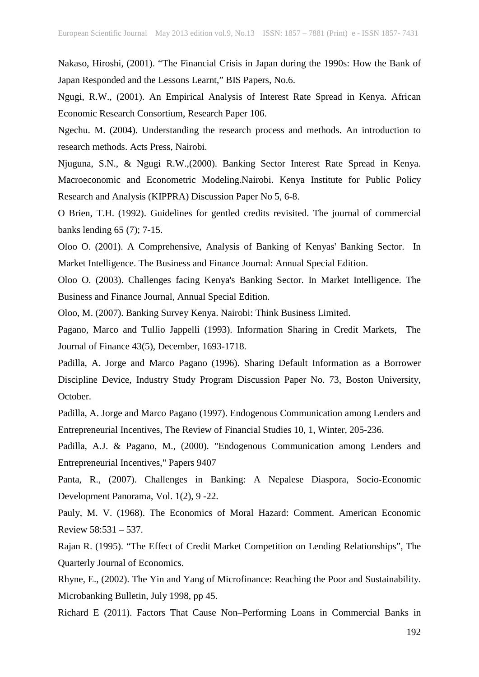Nakaso, Hiroshi, (2001). "The Financial Crisis in Japan during the 1990s: How the Bank of Japan Responded and the Lessons Learnt," BIS Papers, No.6.

Ngugi, R.W., (2001). An Empirical Analysis of Interest Rate Spread in Kenya. African Economic Research Consortium, Research Paper 106.

Ngechu. M. (2004). Understanding the research process and methods. An introduction to research methods. Acts Press, Nairobi.

Njuguna, S.N., & Ngugi R.W.,(2000). Banking Sector Interest Rate Spread in Kenya. Macroeconomic and Econometric Modeling.Nairobi. Kenya Institute for Public Policy Research and Analysis (KIPPRA) Discussion Paper No 5, 6-8.

O Brien, T.H. (1992). Guidelines for gentled credits revisited. The journal of commercial banks lending 65 (7); 7-15.

Oloo O. (2001). A Comprehensive, Analysis of Banking of Kenyas' Banking Sector. In Market Intelligence. The Business and Finance Journal: Annual Special Edition.

Oloo O. (2003). Challenges facing Kenya's Banking Sector. In Market Intelligence. The Business and Finance Journal, Annual Special Edition.

Oloo, M. (2007). Banking Survey Kenya. Nairobi: Think Business Limited.

Pagano, Marco and Tullio Jappelli (1993). Information Sharing in Credit Markets, The Journal of Finance 43(5), December, 1693-1718.

Padilla, A. Jorge and Marco Pagano (1996). Sharing Default Information as a Borrower Discipline Device, Industry Study Program Discussion Paper No. 73, Boston University, October.

Padilla, A. Jorge and Marco Pagano (1997). Endogenous Communication among Lenders and Entrepreneurial Incentives, The Review of Financial Studies 10, 1, Winter, 205-236.

Padilla, A.J. & Pagano, M., (2000). "Endogenous Communication among Lenders and Entrepreneurial Incentives," Papers 9407

Panta, R., (2007). Challenges in Banking: A Nepalese Diaspora, Socio-Economic Development Panorama, Vol. 1(2), 9 -22.

Pauly, M. V. (1968). The Economics of Moral Hazard: Comment. American Economic Review 58:531 – 537.

Rajan R. (1995). "The Effect of Credit Market Competition on Lending Relationships", The Quarterly Journal of Economics.

Rhyne, E., (2002). The Yin and Yang of Microfinance: Reaching the Poor and Sustainability. Microbanking Bulletin, July 1998, pp 45.

Richard E (2011). Factors That Cause Non–Performing Loans in Commercial Banks in